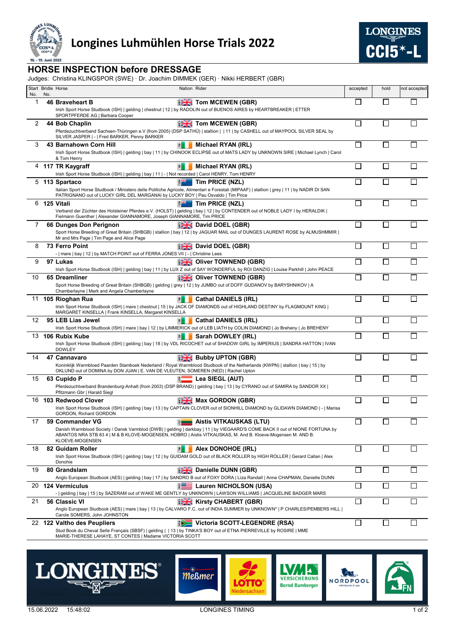

## Longines Luhmühlen Horse Trials 2022



## **HORSE INSPECTION before DRESSAGE**

Judges: Christina KLINGSPOR (SWE) · Dr. Joachim DIMMEK (GER) · Nikki HERBERT (GBR)

| No. | No. | Start Bridle Horse<br>Nation Rider                                                                                                                                                                                                                                                                                     |                               | accepted                  | hold                        | not accepted |
|-----|-----|------------------------------------------------------------------------------------------------------------------------------------------------------------------------------------------------------------------------------------------------------------------------------------------------------------------------|-------------------------------|---------------------------|-----------------------------|--------------|
| 1   |     | <b>EXACTOM MCEWEN (GBR)</b><br>46 Braveheart B<br>Irish Sport Horse Studbook (ISH)   gelding   chestnut   12   by RADOLIN out of BUENOS AIRES by HEARTBREAKER   ETTER                                                                                                                                                  |                               | $\mathbb{R}^n$            | П                           | $\mathsf{L}$ |
| 2   |     | SPORTPFERDE AG   Barbara Cooper<br><b>EXECUTION MCEWEN (GBR)</b><br>44 Bob Chaplin<br>Pferdezuchtverband Sachsen-Thüringen e.V (from 2005) (DSP SATHÜ)   stallion     11   by CASHELL out of MAYPOOL SILVER SEAL by                                                                                                    |                               | I.                        |                             |              |
| 3   |     | SILVER JASPER   -   Fred BARKER, Penny BARKER<br>Michael RYAN (IRL)<br>43 Barnahown Corn Hill<br>凮<br>Irish Sport Horse Studbook (ISH)   gelding   bay   11   by CHINOOK ECLIPSE out of MATS LADY by UNKNOWN SIRE   Michael Lynch   Carol                                                                              |                               | П                         | П                           |              |
|     |     | & Tom Henry<br>4 117 TR Kaygraff<br>Michael RYAN (IRL)<br>$\overline{B}$<br>Irish Sport Horse Studbook (ISH)   gelding   bay   11   -   Not recorded   Carol HENRY, Tom HENRY                                                                                                                                          |                               | $\mathbb{R}^n$            | $\Box$                      |              |
|     |     | B<br>5 113 Spartaco<br>Tim PRICE (NZL)<br>Italian Sport Horse Studbook / Ministero delle Politiche Agricole, Alimentari e Forestali (MIPAAF)   stallion   grey   11   by NADIR DI SAN<br>PATRIGNANO out of LUCKY GIRL DEL MARGANAI by LUCKY BOY   Pau Osvaldo   Tim Price                                              |                               |                           |                             |              |
| 6   |     | 125 Vitali<br>Tim PRICE (NZL)<br>Verband der Züchter des Holsteiner Pferdes e.V. (HOLST)   gelding   bay   12   by CONTENDER out of NOBLE LADY I by HERALDIK  <br>Fielmann Guenther   Alexander GIANNAMORE, Joseph GIANNAMORE, Tim PRICE                                                                               |                               | П                         | $\overline{\phantom{a}}$    |              |
| 7   |     | <b>David DOEL (GBR)</b><br>66 Dunges Don Perignon<br>Sport Horse Breeding of Great Britain (SHBGB)   stallion   bay   12   by JAGUAR MAIL out of DUNGES LAURENT ROSE by ALMUSHMMIR  <br>Mr and Mrs Page   Tim Page and Alice Page                                                                                      |                               | П                         | $\Box$                      |              |
| 8   |     | <b>David DOEL (GBR)</b><br>73 Ferro Point<br>-   mare   bay   12   by MATCH POINT out of FERRA JONES VII   -   Christine Lees                                                                                                                                                                                          |                               | $\mathbb{R}^n$            | $\mathsf{L}$                |              |
| 9   |     | <b>DESIGNATION (GBR)</b><br>97 Lukas<br>Irish Sport Horse Studbook (ISH)   gelding   bay   11   by LUX Z out of SAY WONDERFUL by ROI DANZIG   Louise Parkhill   John PEACE                                                                                                                                             |                               | $\mathbb{R}^n$            | L                           |              |
| 10  |     | <b>BEK</b> Oliver TOWNEND (GBR)<br>65 Dreamliner<br>Sport Horse Breeding of Great Britain (SHBGB)   gelding   grey   12   by JUMBO out of DOFF GUDANOV by BARYSHNIKOV   A<br>Chamberlayne   Mark and Angela Chamberlayne                                                                                               |                               |                           |                             |              |
|     |     | <b>Cathal DANIELS (IRL)</b><br>11 105 Rioghan Rua<br>呂<br>Irish Sport Horse Studbook (ISH)   mare   chestnut   15   by JACK OF DIAMONDS out of HIGHLAND DESTINY by FLAGMOUNT KING  <br>MARGARET KINSELLA   Frank KINSELLA, Margaret KINSELLA                                                                           |                               | П                         | $\Box$                      |              |
| 12  |     | 95 LEB Lias Jewel<br><b>Cathal DANIELS (IRL)</b><br>휨<br>Irish Sport Horse Studbook (ISH)   mare   bay   12   by LIMMERICK out of LEB LIATH by COLIN DIAMOND   Jo Breheny   Jo BREHENY                                                                                                                                 |                               | $\mathbf{L}$              |                             |              |
|     |     | Sarah DOWLEY (IRL)<br>13 106 Rubix Kube<br>呂<br>Irish Sport Horse Studbook (ISH)   gelding   bay   18   by VDL RICOCHET out of SHADOW GIRL by IMPERIUS   SANDRA HATTON   IVAN<br><b>DOWLEY</b>                                                                                                                         |                               | $\mathbf{L}$              |                             |              |
| 14  |     | <b>BUDDY UPTON (GBR)</b><br>47 Cannavaro<br>Koninklijk Warmbloed Paarden Stamboek Nederland / Royal Warmblood Studbook of the Netherlands (KWPN)   stallion   bay   15   by<br>OKLUND out of DOMINA by DON JUAN   E. VAN DE VLEUTEN, SOMEREN (NED)   Rachel Upton                                                      |                               | $\mathbf{I}$              |                             |              |
| 15  |     | $\equiv$ Lea SIEGL (AUT)<br>63 Cupido P<br>Pferdezuchtverband Brandenburg-Anhalt (from 2003) (DSP BRAND)   gelding   bay   13   by CYRANO out of SAMIRA by SANDOR XX  <br>Pfitzmann Gbr   Harald Siegl                                                                                                                 |                               | <b>The Contract State</b> | $\Box$                      |              |
|     |     | <b>EXAM</b> Max GORDON (GBR)<br>16 103 Redwood Clover<br>Irish Sport Horse Studbook (ISH)   gelding   bay   13   by CAPTAIN CLOVER out of SIONHILL DIAMOND by GLIDAWN DIAMOND   -   Marisa<br>GORDON, Richard GORDON                                                                                                   |                               | П                         | Π                           |              |
| 17  |     | 59 Commander VG<br><b>E</b> Aistis VITKAUSKAS (LTU)<br>Danish Warmblood Society / Dansk Varmblod (DWB)   gelding   darkbay   11   by VIEGAARD'S COME BACK II out of NIONE FORTUNA by<br>ABANTOS NRA STB 83 4   M & B KLOVE-MOGENSEN, HOBRO   Aistis VITKAUSKAS, M. And B. Kloeve-Mogensen M. AND B.<br>KLOEVE-MOGENSEN |                               | □                         | $\Box$                      |              |
| 18  |     | 82 Guidam Roller<br>Alex DONOHOE (IRL)<br>呂<br>Irish Sport Horse Studbook (ISH)   gelding   bay   12   by GUIDAM GOLD out of BLACK ROLLER by HIGH ROLLER   Gerard Callan   Alex<br>Donohie                                                                                                                             |                               | $\Box$                    | $\overline{\phantom{a}}$    |              |
| 19  |     | <b>Danielle DUNN (GBR)</b><br>80 Grandslam<br>Anglo European Studbook (AES)   gelding   bay   17   by SANDRO B out of FOXY DORA   Liza Randall   Anne CHAPMAN, Danielle DUNN                                                                                                                                           |                               | $\mathbb{R}^n$            | $\mathcal{L}_{\mathcal{A}}$ |              |
|     |     | 20 124 Vermiculus<br>Lauren NICHOLSON (USA)<br>-   gelding   bay   15   by SAZERAM out of WAKE ME GENTLY by UNKNOWN   LAWSON WILLIAMS   JACQUELINE BADGER MARS                                                                                                                                                         |                               | $\overline{\phantom{a}}$  |                             |              |
| 21  |     | <b>EXECUTE Kirsty CHABERT (GBR)</b><br>56 Classic VI<br>Anglo European Studbook (AES)   mare   bay   13   by CALVARO F.C. out of INDIA SUMMER by UNKNOWN*   P CHARLES/PEMBERS HILL  <br>Carole SOMERS, John JOHNSTON                                                                                                   |                               | $\mathbb{R}^n$            |                             |              |
|     |     | 22 122 Valtho des Peupliers<br>$\sum$<br>Stud Book du Cheval Selle Français (SBSF)   gelding     13   by TINKA'S BOY out of ETNA PIERREVILLE by ROSIRE   MME                                                                                                                                                           | Victoria SCOTT-LEGENDRE (RSA) | $\Box$                    | $\Box$                      |              |

MARIE-THERESE LAHAYE, ST CONTES | Madame VICTORIA SCOTT